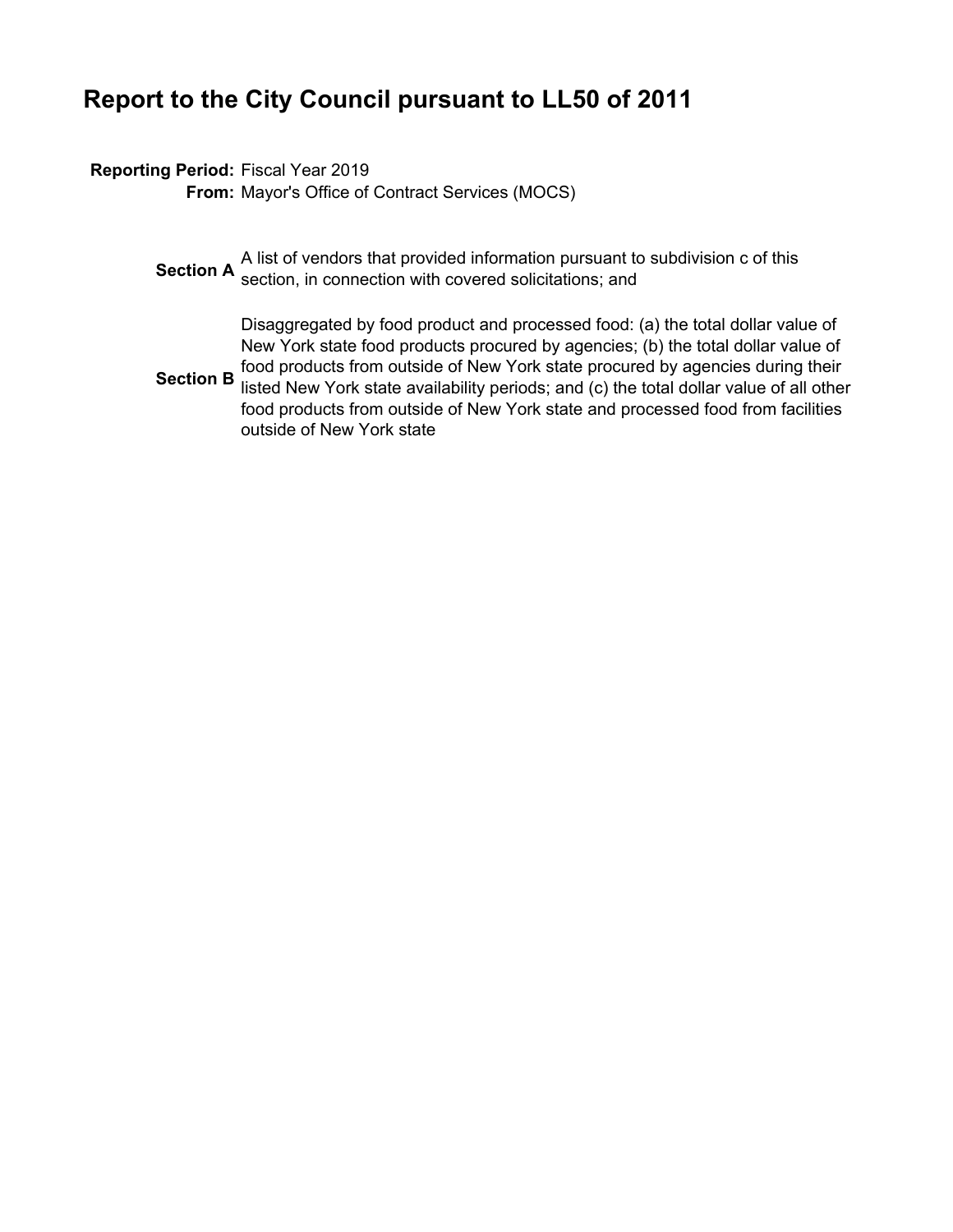### **Report to the City Council pursuant to LL50 of 2011**

### **Reporting Period:** Fiscal Year 2019

**From:** Mayor's Office of Contract Services (MOCS)

**Section A** a list of vendors that provided information pursuant to subdivision c of this **Section**, in connection with covered solicitations; and

**Section B** Disaggregated by food product and processed food: (a) the total dollar value of New York state food products procured by agencies; (b) the total dollar value of food products from outside of New York state procured by agencies during their listed New York state availability periods; and (c) the total dollar value of all other food products from outside of New York state and processed food from facilities outside of New York state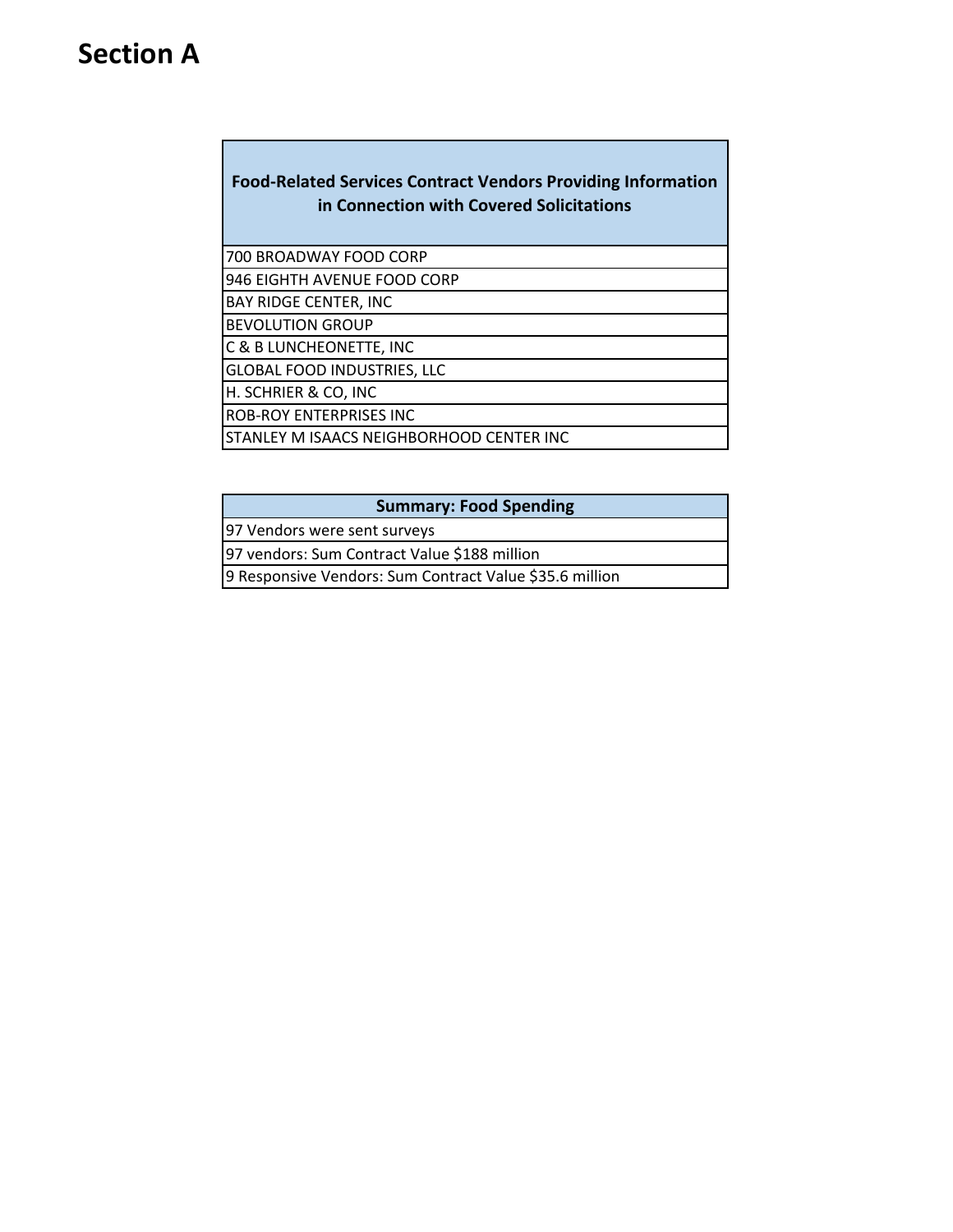### **Section A**

### **Food‐Related Services Contract Vendors Providing Information in Connection with Covered Solicitations**

700 BROADWAY FOOD CORP

946 EIGHTH AVENUE FOOD CORP

BAY RIDGE CENTER, INC

BEVOLUTION GROUP

C & B LUNCHEONETTE, INC GLOBAL FOOD INDUSTRIES, LLC

H. SCHRIER & CO, INC

ROB‐ROY ENTERPRISES INC

STANLEY M ISAACS NEIGHBORHOOD CENTER INC

#### **Summary: Food Spending**

97 Vendors were sent surveys

97 vendors: Sum Contract Value \$188 million

9 Responsive Vendors: Sum Contract Value \$35.6 million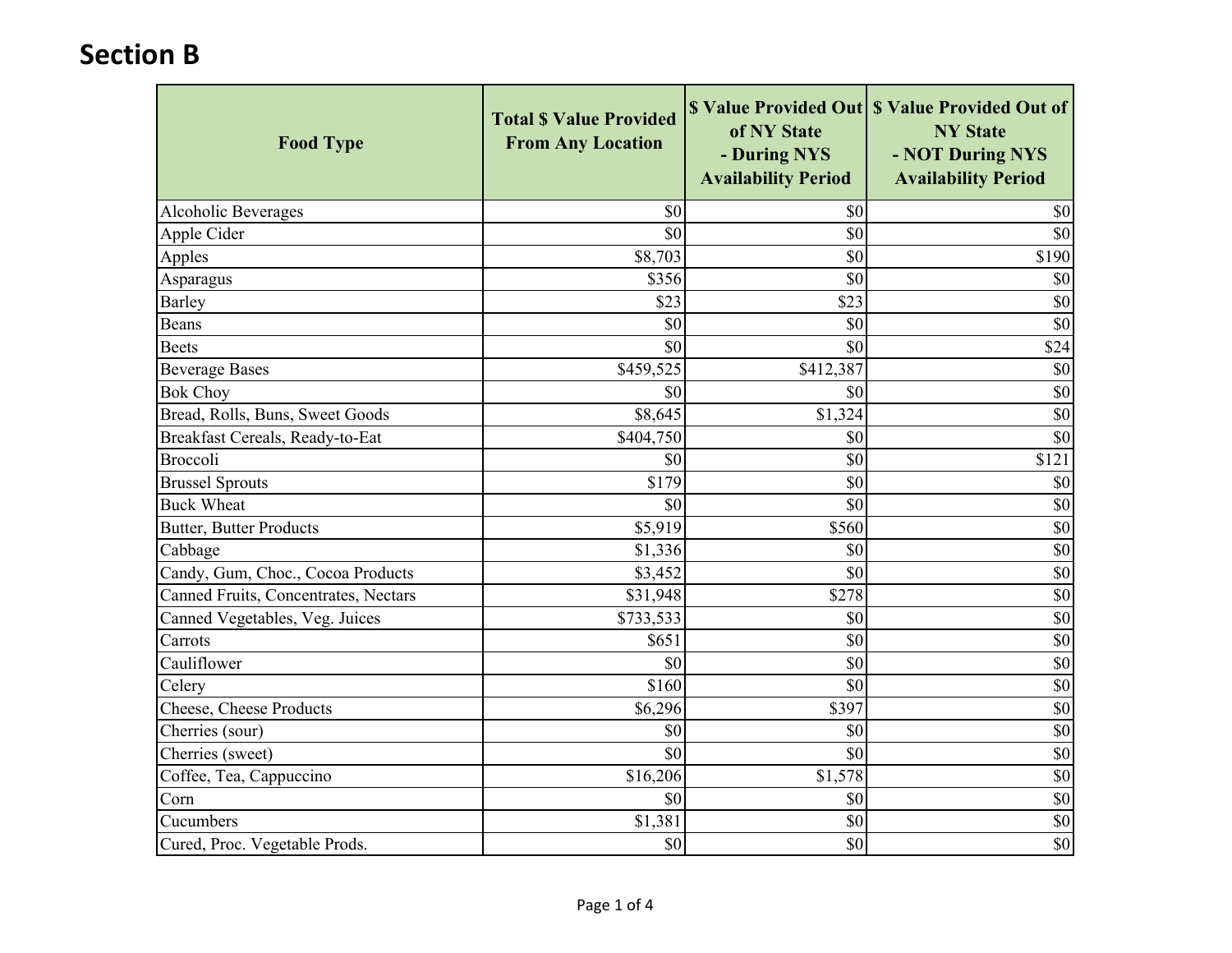| <b>Food Type</b>                     | <b>Total \$ Value Provided</b><br><b>From Any Location</b> | of NY State<br>- During NYS<br><b>Availability Period</b> | \$ Value Provided Out \ \$ Value Provided Out of<br><b>NY State</b><br>- NOT During NYS<br><b>Availability Period</b> |
|--------------------------------------|------------------------------------------------------------|-----------------------------------------------------------|-----------------------------------------------------------------------------------------------------------------------|
| Alcoholic Beverages                  | \$0                                                        | \$0                                                       | \$0                                                                                                                   |
| Apple Cider                          | \$0                                                        | \$0                                                       | \$0                                                                                                                   |
| Apples                               | \$8,703                                                    | \$0                                                       | \$190                                                                                                                 |
| Asparagus                            | \$356                                                      | \$0                                                       | \$0                                                                                                                   |
| Barley                               | \$23                                                       | \$23                                                      | \$0                                                                                                                   |
| Beans                                | \$0                                                        | \$0                                                       | $\overline{50}$                                                                                                       |
| <b>Beets</b>                         | \$0                                                        | \$0                                                       | \$24                                                                                                                  |
| <b>Beverage Bases</b>                | \$459,525                                                  | \$412,387                                                 | \$0                                                                                                                   |
| <b>Bok Choy</b>                      | \$0                                                        | \$0                                                       | \$0                                                                                                                   |
| Bread, Rolls, Buns, Sweet Goods      | \$8,645                                                    | \$1,324                                                   | $\overline{50}$                                                                                                       |
| Breakfast Cereals, Ready-to-Eat      | \$404,750                                                  | \$0                                                       | \$0                                                                                                                   |
| Broccoli                             | \$0                                                        | \$0                                                       | \$121                                                                                                                 |
| <b>Brussel Sprouts</b>               | \$179                                                      | \$0                                                       | \$0                                                                                                                   |
| <b>Buck Wheat</b>                    | \$0                                                        | \$0                                                       | \$0                                                                                                                   |
| <b>Butter, Butter Products</b>       | \$5,919                                                    | \$560                                                     | \$0                                                                                                                   |
| Cabbage                              | \$1,336                                                    | \$0                                                       | $\overline{\$0}$                                                                                                      |
| Candy, Gum, Choc., Cocoa Products    | \$3,452                                                    | \$0                                                       | $\overline{50}$                                                                                                       |
| Canned Fruits, Concentrates, Nectars | \$31,948                                                   | \$278                                                     | $\overline{\$0}$                                                                                                      |
| Canned Vegetables, Veg. Juices       | \$733,533                                                  | \$0                                                       | \$0                                                                                                                   |
| Carrots                              | \$651                                                      | \$0                                                       | \$0                                                                                                                   |
| Cauliflower                          | \$0                                                        | \$0                                                       | $\overline{50}$                                                                                                       |
| Celery                               | \$160                                                      | \$0                                                       | $\overline{50}$                                                                                                       |
| Cheese, Cheese Products              | \$6,296                                                    | \$397                                                     | $\overline{50}$                                                                                                       |
| Cherries (sour)                      | \$0                                                        | \$0                                                       | \$0                                                                                                                   |
| Cherries (sweet)                     | \$0                                                        | \$0                                                       | \$0                                                                                                                   |
| Coffee, Tea, Cappuccino              | \$16,206                                                   | \$1,578                                                   | $\overline{50}$                                                                                                       |
| Corn                                 | \$0                                                        | \$0                                                       | $\overline{50}$                                                                                                       |
| Cucumbers                            | \$1,381                                                    | \$0                                                       | $\sqrt[6]{9}$                                                                                                         |
| Cured, Proc. Vegetable Prods.        | \$0                                                        | \$0                                                       | $\overline{\$0}$                                                                                                      |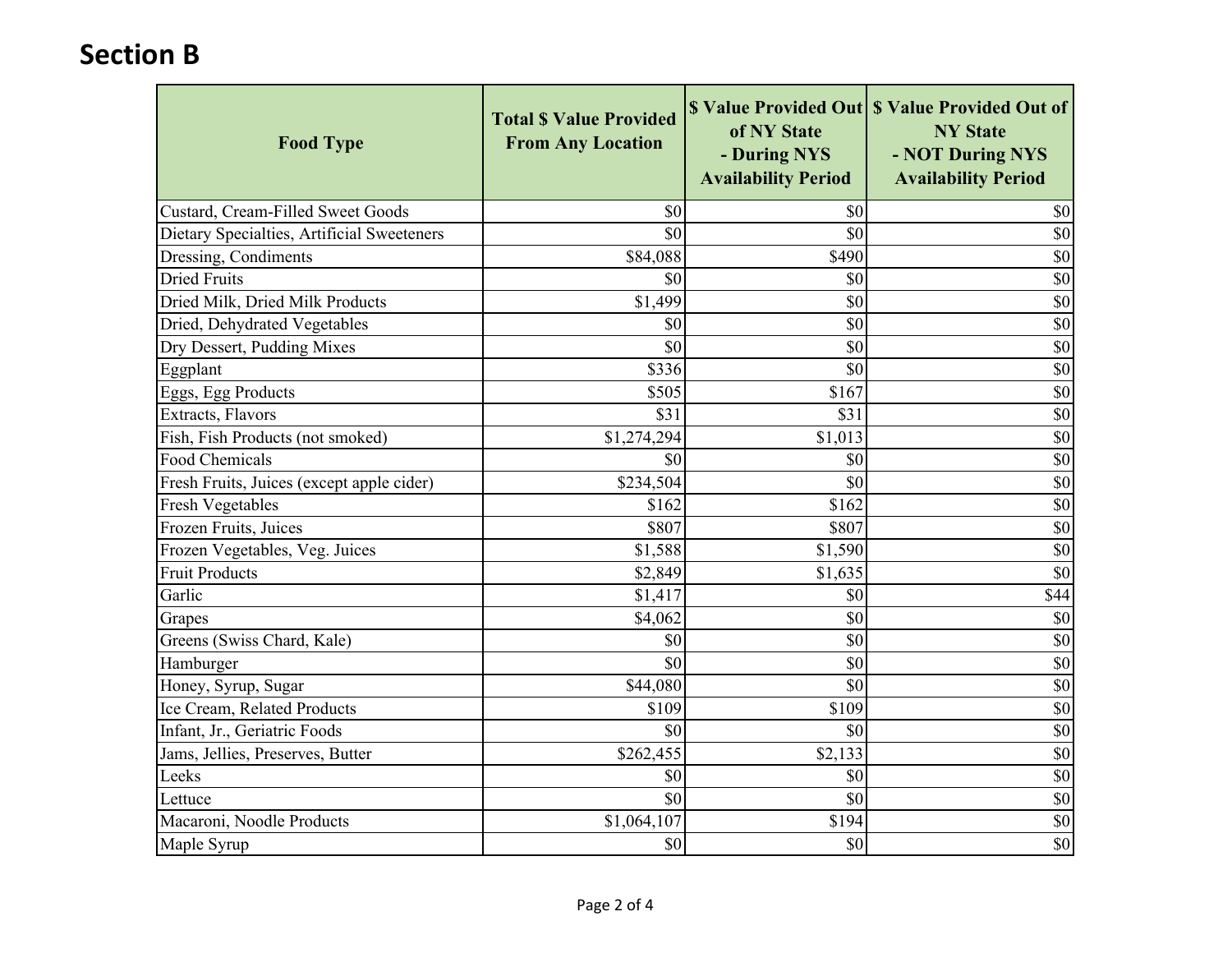| <b>Food Type</b>                           | <b>Total \$ Value Provided</b><br><b>From Any Location</b> | of NY State<br>- During NYS<br><b>Availability Period</b> | \$ Value Provided Out \ \$ Value Provided Out of<br><b>NY State</b><br>- NOT During NYS<br><b>Availability Period</b> |
|--------------------------------------------|------------------------------------------------------------|-----------------------------------------------------------|-----------------------------------------------------------------------------------------------------------------------|
| Custard, Cream-Filled Sweet Goods          | \$0                                                        | \$0                                                       | \$0                                                                                                                   |
| Dietary Specialties, Artificial Sweeteners | \$0                                                        | \$0                                                       | \$0                                                                                                                   |
| Dressing, Condiments                       | \$84,088                                                   | \$490                                                     | $\overline{50}$                                                                                                       |
| <b>Dried Fruits</b>                        | \$0                                                        | \$0                                                       | \$0                                                                                                                   |
| Dried Milk, Dried Milk Products            | \$1,499                                                    | \$0                                                       | $\overline{\$0}$                                                                                                      |
| Dried, Dehydrated Vegetables               | \$0                                                        | \$0                                                       | $\overline{\$0}$                                                                                                      |
| Dry Dessert, Pudding Mixes                 | \$0                                                        | \$0                                                       | $\overline{50}$                                                                                                       |
| Eggplant                                   | \$336                                                      | \$0                                                       | \$0                                                                                                                   |
| Eggs, Egg Products                         | \$505                                                      | \$167                                                     | \$0                                                                                                                   |
| Extracts, Flavors                          | $\overline{$31}$                                           | \$31                                                      | $\overline{50}$                                                                                                       |
| Fish, Fish Products (not smoked)           | \$1,274,294                                                | \$1,013                                                   | $\overline{\$0}$                                                                                                      |
| Food Chemicals                             | \$0                                                        | \$0                                                       | $\overline{50}$                                                                                                       |
| Fresh Fruits, Juices (except apple cider)  | \$234,504                                                  | \$0                                                       | $\overline{50}$                                                                                                       |
| <b>Fresh Vegetables</b>                    | \$162                                                      | \$162                                                     | $\overline{50}$                                                                                                       |
| Frozen Fruits, Juices                      | \$807                                                      | \$807                                                     | \$0                                                                                                                   |
| Frozen Vegetables, Veg. Juices             | \$1,588                                                    | \$1,590                                                   | $\overline{50}$                                                                                                       |
| <b>Fruit Products</b>                      | \$2,849                                                    | \$1,635                                                   | $\overline{50}$                                                                                                       |
| Garlic                                     | \$1,417                                                    | \$0                                                       | \$44                                                                                                                  |
| Grapes                                     | \$4,062                                                    | \$0                                                       | \$0                                                                                                                   |
| Greens (Swiss Chard, Kale)                 | \$0                                                        | \$0                                                       | \$0                                                                                                                   |
| Hamburger                                  | \$0                                                        | \$0                                                       | $\overline{50}$                                                                                                       |
| Honey, Syrup, Sugar                        | \$44,080                                                   | \$0                                                       | $\overline{50}$                                                                                                       |
| Ice Cream, Related Products                | \$109                                                      | \$109                                                     | $\overline{\$0}$                                                                                                      |
| Infant, Jr., Geriatric Foods               | \$0                                                        | \$0                                                       | $\overline{50}$                                                                                                       |
| Jams, Jellies, Preserves, Butter           | \$262,455                                                  | \$2,133                                                   | \$0                                                                                                                   |
| Leeks                                      | \$0                                                        | \$0                                                       | \$0                                                                                                                   |
| Lettuce                                    | \$0                                                        | \$0                                                       | $\overline{\$0}$                                                                                                      |
| Macaroni, Noodle Products                  | \$1,064,107                                                | \$194                                                     | $\overline{50}$                                                                                                       |
| Maple Syrup                                | \$0                                                        | \$0                                                       | $\overline{\$0}$                                                                                                      |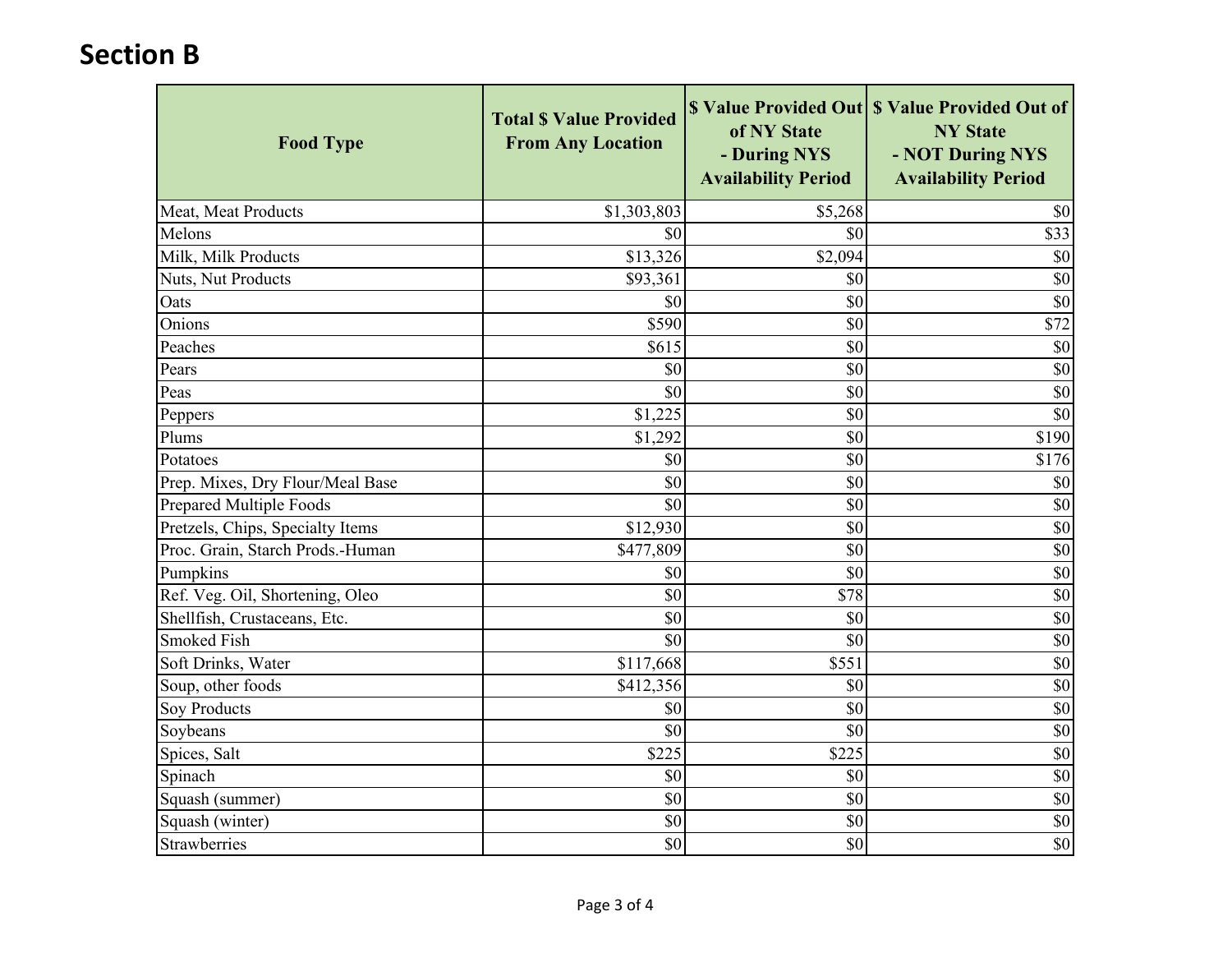| <b>Food Type</b>                 | <b>Total \$ Value Provided</b><br><b>From Any Location</b> | of NY State<br>- During NYS<br><b>Availability Period</b> | \$ Value Provided Out   \$ Value Provided Out of<br><b>NY State</b><br>- NOT During NYS<br><b>Availability Period</b> |
|----------------------------------|------------------------------------------------------------|-----------------------------------------------------------|-----------------------------------------------------------------------------------------------------------------------|
| Meat, Meat Products              | \$1,303,803                                                | \$5,268                                                   | \$0                                                                                                                   |
| Melons                           | \$0                                                        | \$0                                                       | \$33                                                                                                                  |
| Milk, Milk Products              | \$13,326                                                   | $\overline{$}2,094$                                       | \$0                                                                                                                   |
| Nuts, Nut Products               | \$93,361                                                   | \$0                                                       | \$0                                                                                                                   |
| Oats                             | \$0                                                        | \$0                                                       | $\overline{50}$                                                                                                       |
| Onions                           | \$590                                                      | \$0                                                       | $\overline{$}72$                                                                                                      |
| Peaches                          | \$615                                                      | \$0                                                       | \$0                                                                                                                   |
| Pears                            | \$0                                                        | \$0                                                       | \$0                                                                                                                   |
| Peas                             | \$0                                                        | \$0                                                       | $\overline{\$0}$                                                                                                      |
| Peppers                          | \$1,225                                                    | \$0                                                       | $\overline{50}$                                                                                                       |
| Plums                            | \$1,292                                                    | \$0                                                       | \$190                                                                                                                 |
| Potatoes                         | \$0                                                        | \$0                                                       | \$176                                                                                                                 |
| Prep. Mixes, Dry Flour/Meal Base | \$0                                                        | \$0                                                       | \$0                                                                                                                   |
| <b>Prepared Multiple Foods</b>   | \$0                                                        | \$0                                                       | $\overline{50}$                                                                                                       |
| Pretzels, Chips, Specialty Items | \$12,930                                                   | \$0                                                       | \$0                                                                                                                   |
| Proc. Grain, Starch Prods.-Human | \$477,809                                                  | \$0                                                       | $\overline{50}$                                                                                                       |
| Pumpkins                         | \$0                                                        | $\overline{50}$                                           | \$0                                                                                                                   |
| Ref. Veg. Oil, Shortening, Oleo  | \$0                                                        | \$78                                                      | $\overline{\$0}$                                                                                                      |
| Shellfish, Crustaceans, Etc.     | \$0                                                        | \$0                                                       | \$0                                                                                                                   |
| <b>Smoked Fish</b>               | \$0                                                        | \$0                                                       | \$0                                                                                                                   |
| Soft Drinks, Water               | \$117,668                                                  | \$551                                                     | \$0                                                                                                                   |
| Soup, other foods                | \$412,356                                                  | \$0                                                       | $\overline{\$0}$                                                                                                      |
| <b>Soy Products</b>              | \$0                                                        | \$0                                                       | $\overline{\$0}$                                                                                                      |
| Soybeans                         | \$0                                                        | \$0                                                       | \$0                                                                                                                   |
| Spices, Salt                     | \$225                                                      | \$225                                                     | \$0                                                                                                                   |
| Spinach                          | \$0                                                        | \$0                                                       | $\overline{\$0}$                                                                                                      |
| Squash (summer)                  | \$0                                                        | \$0                                                       | $\overline{50}$                                                                                                       |
| Squash (winter)                  | \$0                                                        | \$0                                                       | \$0                                                                                                                   |
| Strawberries                     | \$0                                                        | \$0                                                       | $\overline{\$0}$                                                                                                      |